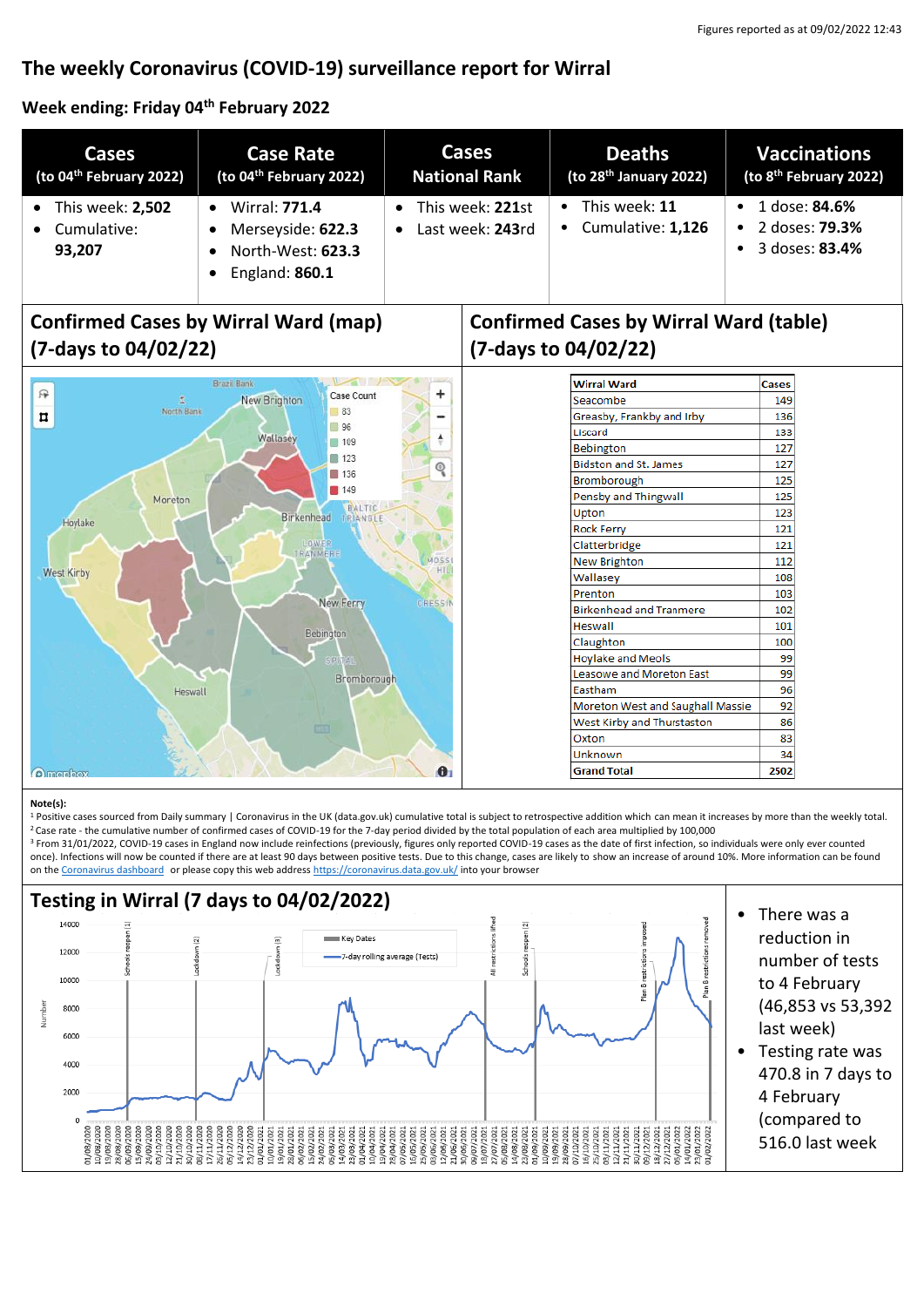# **The weekly Coronavirus (COVID-19) surveillance report for Wirral**

**Week ending: Friday 04th February 2022**

| Cases                                                               | <b>Case Rate</b>                                                                                           | Cases                                | <b>Deaths</b>                                | <b>Vaccinations</b>                                             |
|---------------------------------------------------------------------|------------------------------------------------------------------------------------------------------------|--------------------------------------|----------------------------------------------|-----------------------------------------------------------------|
| (to $04th$ February 2022)                                           | (to 04 <sup>th</sup> February 2022)                                                                        | <b>National Rank</b>                 | (to $28th$ January 2022)                     | (to 8 <sup>th</sup> February 2022)                              |
| This week: 2,502<br>$\bullet$<br>Cumulative:<br>$\bullet$<br>93.207 | <b>Wirral: 771.4</b><br>$\bullet$<br>Merseyside: 622.3<br>$\bullet$<br>North-West: 623.3<br>England: 860.1 | This week: 221st<br>Last week: 243rd | This week: 11<br>$\bullet$ Cumulative: 1,126 | 1 dose: <b>84.6%</b><br>2 doses: <b>79.3%</b><br>3 doses: 83.4% |

# **Confirmed Cases by Wirral Ward (map) (7-days to 04/02/22)**



# **Confirmed Cases by Wirral Ward (table) (7-days to 04/02/22)**

| <b>Wirral Ward</b>               |     |  |
|----------------------------------|-----|--|
| Seacombe                         |     |  |
| Greasby, Frankby and Irby        | 136 |  |
| Liscard                          | 133 |  |
| <b>Bebington</b>                 | 127 |  |
| <b>Bidston and St. James</b>     | 127 |  |
| Bromborough                      |     |  |
| Pensby and Thingwall             |     |  |
| Upton                            | 123 |  |
| <b>Rock Ferry</b>                | 121 |  |
| Clatterbridge                    | 121 |  |
| <b>New Brighton</b>              | 112 |  |
| Wallasey                         | 108 |  |
| Prenton                          | 103 |  |
| <b>Birkenhead and Tranmere</b>   |     |  |
| Heswall                          | 101 |  |
| Claughton                        | 100 |  |
| <b>Hoylake and Meols</b>         | 99  |  |
| Leasowe and Moreton Fast         | 99  |  |
| <b>Fastham</b>                   | 96  |  |
| Moreton West and Saughall Massie | 92  |  |
| West Kirby and Thurstaston       | 86  |  |
| Oxton                            | 83  |  |
| Unknown                          | 34  |  |
| <b>Grand Total</b>               |     |  |

#### **Note(s):**

1 Positive cases sourced from Daily summary | Coronavirus in the UK (data.gov.uk) cumulative total is subject to retrospective addition which can mean it increases by more than the weekly total. <sup>2</sup>Case rate - the cumulative number of confirmed cases of COVID-19 for the 7-day period divided by the total population of each area multiplied by 100,000

<sup>3</sup> From 31/01/2022, COVID-19 cases in England now include reinfections (previously, figures only reported COVID-19 cases as the date of first infection, so individuals were only ever counted once). Infections will now be counted if there are at least 90 days between positive tests. Due to this change, cases are likely to show an increase of around 10%. More information can be found on the [Coronavirus dashboard](https://coronavirus.data.gov.uk/details/whats-new/record/af008739-ffa3-47b8-8efc-ef109f2cfbdd) or please copy this web addres[s https://coronavirus.data.gov.uk/](https://coronavirus.data.gov.uk/) into your browser

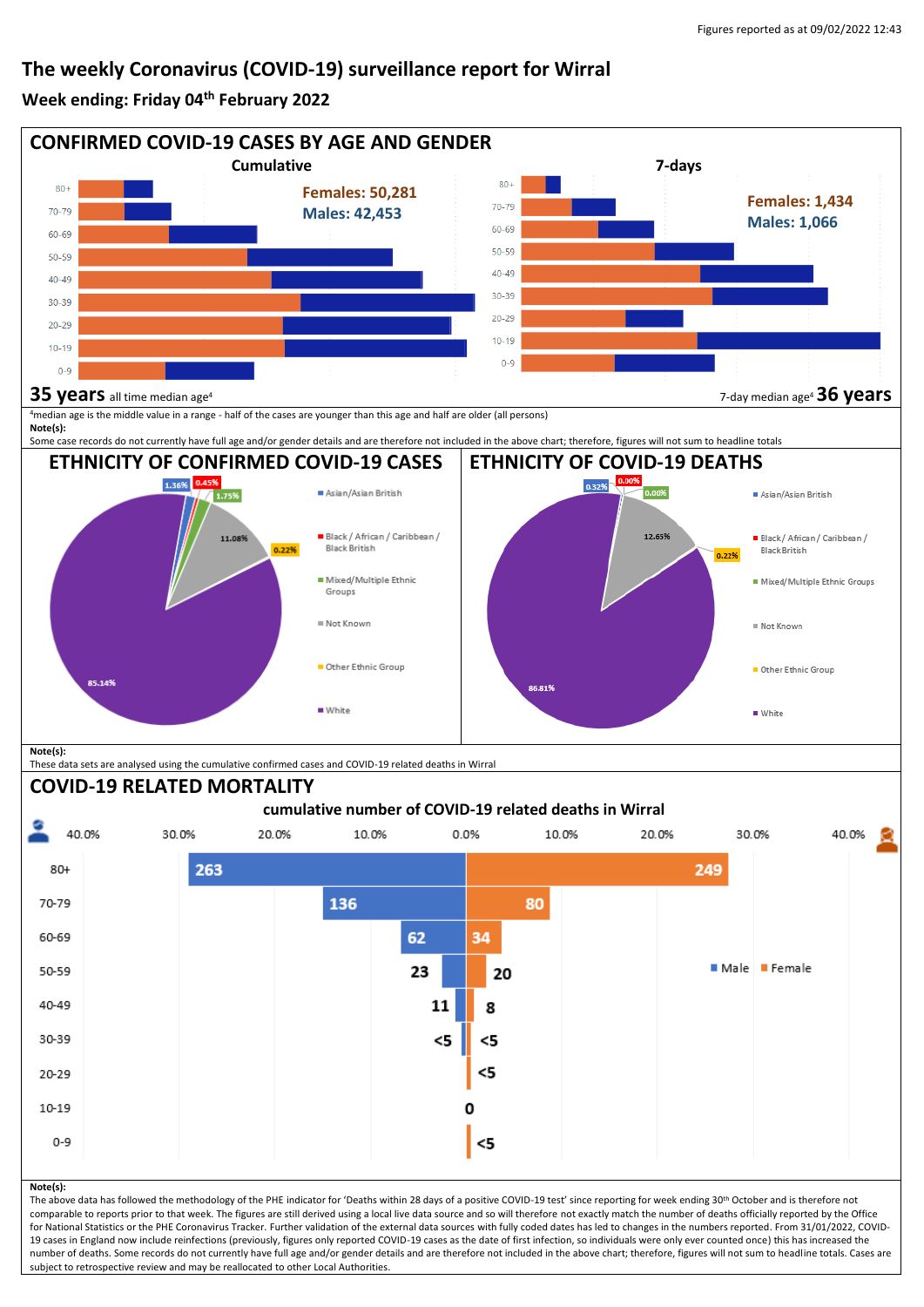### **The weekly Coronavirus (COVID-19) surveillance report for Wirral**

#### **Week ending: Friday 04th February 2022**



19 cases in England now include reinfections (previously, figures only reported COVID-19 cases as the date of first infection, so individuals were only ever counted once) this has increased the number of deaths. Some records do not currently have full age and/or gender details and are therefore not included in the above chart; therefore, figures will not sum to headline totals. Cases are subject to retrospective review and may be reallocated to other Local Authorities.